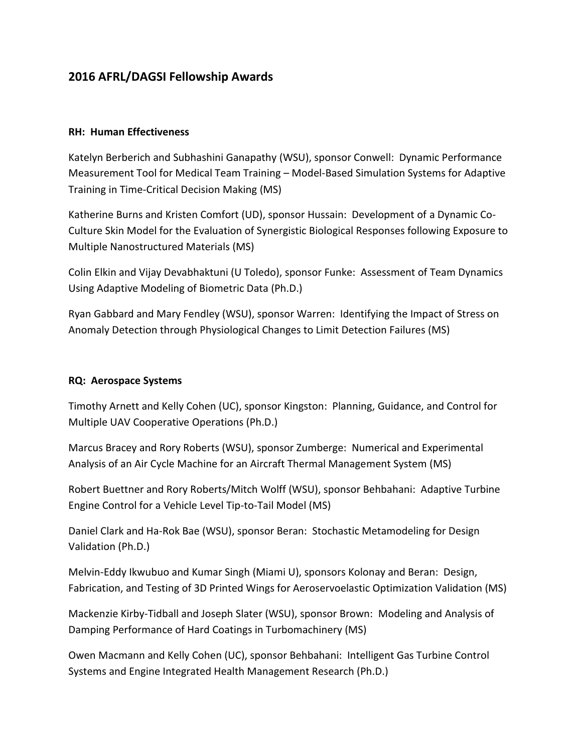# **2016 AFRL/DAGSI Fellowship Awards**

#### **RH: Human Effectiveness**

Katelyn Berberich and Subhashini Ganapathy (WSU), sponsor Conwell: Dynamic Performance Measurement Tool for Medical Team Training – Model-Based Simulation Systems for Adaptive Training in Time-Critical Decision Making (MS)

Katherine Burns and Kristen Comfort (UD), sponsor Hussain: Development of a Dynamic Co-Culture Skin Model for the Evaluation of Synergistic Biological Responses following Exposure to Multiple Nanostructured Materials (MS)

Colin Elkin and Vijay Devabhaktuni (U Toledo), sponsor Funke: Assessment of Team Dynamics Using Adaptive Modeling of Biometric Data (Ph.D.)

Ryan Gabbard and Mary Fendley (WSU), sponsor Warren: Identifying the Impact of Stress on Anomaly Detection through Physiological Changes to Limit Detection Failures (MS)

#### **RQ: Aerospace Systems**

Timothy Arnett and Kelly Cohen (UC), sponsor Kingston: Planning, Guidance, and Control for Multiple UAV Cooperative Operations (Ph.D.)

Marcus Bracey and Rory Roberts (WSU), sponsor Zumberge: Numerical and Experimental Analysis of an Air Cycle Machine for an Aircraft Thermal Management System (MS)

Robert Buettner and Rory Roberts/Mitch Wolff (WSU), sponsor Behbahani: Adaptive Turbine Engine Control for a Vehicle Level Tip-to-Tail Model (MS)

Daniel Clark and Ha-Rok Bae (WSU), sponsor Beran: Stochastic Metamodeling for Design Validation (Ph.D.)

Melvin-Eddy Ikwubuo and Kumar Singh (Miami U), sponsors Kolonay and Beran: Design, Fabrication, and Testing of 3D Printed Wings for Aeroservoelastic Optimization Validation (MS)

Mackenzie Kirby-Tidball and Joseph Slater (WSU), sponsor Brown: Modeling and Analysis of Damping Performance of Hard Coatings in Turbomachinery (MS)

Owen Macmann and Kelly Cohen (UC), sponsor Behbahani: Intelligent Gas Turbine Control Systems and Engine Integrated Health Management Research (Ph.D.)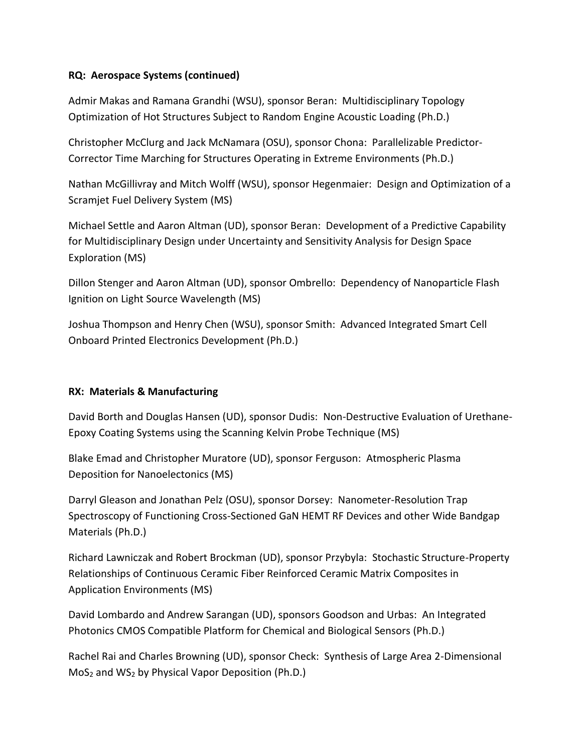## **RQ: Aerospace Systems (continued)**

Admir Makas and Ramana Grandhi (WSU), sponsor Beran: Multidisciplinary Topology Optimization of Hot Structures Subject to Random Engine Acoustic Loading (Ph.D.)

Christopher McClurg and Jack McNamara (OSU), sponsor Chona: Parallelizable Predictor-Corrector Time Marching for Structures Operating in Extreme Environments (Ph.D.)

Nathan McGillivray and Mitch Wolff (WSU), sponsor Hegenmaier: Design and Optimization of a Scramjet Fuel Delivery System (MS)

Michael Settle and Aaron Altman (UD), sponsor Beran: Development of a Predictive Capability for Multidisciplinary Design under Uncertainty and Sensitivity Analysis for Design Space Exploration (MS)

Dillon Stenger and Aaron Altman (UD), sponsor Ombrello: Dependency of Nanoparticle Flash Ignition on Light Source Wavelength (MS)

Joshua Thompson and Henry Chen (WSU), sponsor Smith: Advanced Integrated Smart Cell Onboard Printed Electronics Development (Ph.D.)

## **RX: Materials & Manufacturing**

David Borth and Douglas Hansen (UD), sponsor Dudis: Non-Destructive Evaluation of Urethane-Epoxy Coating Systems using the Scanning Kelvin Probe Technique (MS)

Blake Emad and Christopher Muratore (UD), sponsor Ferguson: Atmospheric Plasma Deposition for Nanoelectonics (MS)

Darryl Gleason and Jonathan Pelz (OSU), sponsor Dorsey: Nanometer-Resolution Trap Spectroscopy of Functioning Cross-Sectioned GaN HEMT RF Devices and other Wide Bandgap Materials (Ph.D.)

Richard Lawniczak and Robert Brockman (UD), sponsor Przybyla: Stochastic Structure-Property Relationships of Continuous Ceramic Fiber Reinforced Ceramic Matrix Composites in Application Environments (MS)

David Lombardo and Andrew Sarangan (UD), sponsors Goodson and Urbas: An Integrated Photonics CMOS Compatible Platform for Chemical and Biological Sensors (Ph.D.)

Rachel Rai and Charles Browning (UD), sponsor Check: Synthesis of Large Area 2-Dimensional MoS<sup>2</sup> and WS<sup>2</sup> by Physical Vapor Deposition (Ph.D.)